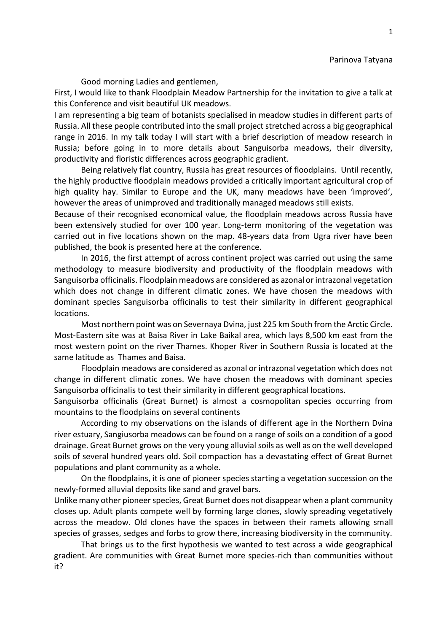## Parinova Tatyana

Good morning Ladies and gentlemen,

First, I would like to thank Floodplain Meadow Partnership for the invitation to give a talk at this Conference and visit beautiful UK meadows.

I am representing a big team of botanists specialised in meadow studies in different parts of Russia. All these people contributed into the small project stretched across a big geographical range in 2016. In my talk today I will start with a brief description of meadow research in Russia; before going in to more details about Sanguisorba meadows, their diversity, productivity and floristic differences across geographic gradient.

Being relatively flat country, Russia has great resources of floodplains. Until recently, the highly productive floodplain meadows provided a critically important agricultural crop of high quality hay. Similar to Europe and the UK, many meadows have been 'improved', however the areas of unimproved and traditionally managed meadows still exists.

Because of their recognised economical value, the floodplain meadows across Russia have been extensively studied for over 100 year. Long-term monitoring of the vegetation was carried out in five locations shown on the map. 48-years data from Ugra river have been published, the book is presented here at the conference.

In 2016, the first attempt of across continent project was carried out using the same methodology to measure biodiversity and productivity of the floodplain meadows with Sanguisorba officinalis. Floodplain meadows are considered as azonal or intrazonal vegetation which does not change in different climatic zones. We have chosen the meadows with dominant species Sanguisorba officinalis to test their similarity in different geographical locations.

Most northern point was on Severnaya Dvina, just 225 km South from the Arctic Circle. Most-Eastern site was at Baisa River in Lake Baikal area, which lays 8,500 km east from the most western point on the river Thames. Khoper River in Southern Russia is located at the same latitude as Thames and Baisa.

Floodplain meadows are considered as azonal or intrazonal vegetation which does not change in different climatic zones. We have chosen the meadows with dominant species Sanguisorba officinalis to test their similarity in different geographical locations.

Sanguisorba officinalis (Great Burnet) is almost a cosmopolitan species occurring from mountains to the floodplains on several continents

According to my observations on the islands of different age in the Northern Dvina river estuary, Sangiusorba meadows can be found on a range of soils on a condition of a good drainage. Great Burnet grows on the very young alluvial soils as well as on the well developed soils of several hundred years old. Soil compaction has a devastating effect of Great Burnet populations and plant community as a whole.

On the floodplains, it is one of pioneer species starting a vegetation succession on the newly-formed alluvial deposits like sand and gravel bars.

Unlike many other pioneer species, Great Burnet does not disappear when a plant community closes up. Adult plants compete well by forming large clones, slowly spreading vegetatively across the meadow. Old clones have the spaces in between their ramets allowing small species of grasses, sedges and forbs to grow there, increasing biodiversity in the community.

That brings us to the first hypothesis we wanted to test across a wide geographical gradient. Are communities with Great Burnet more species-rich than communities without it?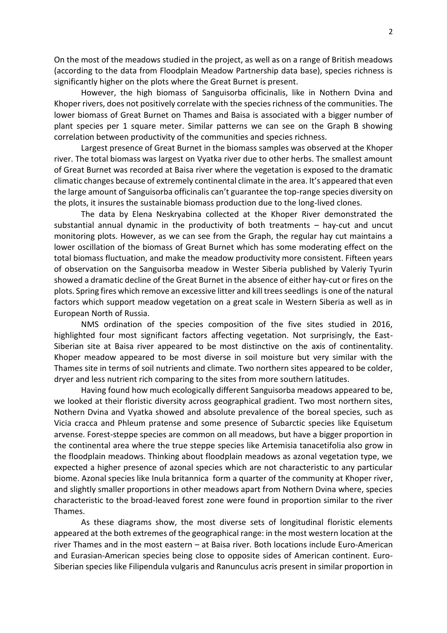On the most of the meadows studied in the project, as well as on a range of British meadows (according to the data from Floodplain Meadow Partnership data base), species richness is significantly higher on the plots where the Great Burnet is present.

However, the high biomass of Sanguisorba officinalis, like in Nothern Dvina and Khoper rivers, does not positively correlate with the species richness of the communities. The lower biomass of Great Burnet on Thames and Baisa is associated with a bigger number of plant species per 1 square meter. Similar patterns we can see on the Graph B showing correlation between productivity of the communities and species richness.

Largest presence of Great Burnet in the biomass samples was observed at the Khoper river. The total biomass was largest on Vyatka river due to other herbs. The smallest amount of Great Burnet was recorded at Baisa river where the vegetation is exposed to the dramatic climatic changes because of extremely continental climate in the area. It's appeared that even the large amount of Sanguisorba officinalis can't guarantee the top-range species diversity on the plots, it insures the sustainable biomass production due to the long-lived clones.

The data by Elena Neskryabina collected at the Khoper River demonstrated the substantial annual dynamic in the productivity of both treatments – hay-cut and uncut monitoring plots. However, as we can see from the Graph, the regular hay cut maintains a lower oscillation of the biomass of Great Burnet which has some moderating effect on the total biomass fluctuation, and make the meadow productivity more consistent. Fifteen years of observation on the Sanguisorba meadow in Wester Siberia published by Valeriy Tyurin showed a dramatic decline of the Great Burnet in the absence of either hay-cut or fires on the plots. Spring fires which remove an excessive litter and kill trees seedlings is one of the natural factors which support meadow vegetation on a great scale in Western Siberia as well as in European North of Russia.

NMS ordination of the species composition of the five sites studied in 2016, highlighted four most significant factors affecting vegetation. Not surprisingly, the East-Siberian site at Baisa river appeared to be most distinctive on the axis of continentality. Khoper meadow appeared to be most diverse in soil moisture but very similar with the Thames site in terms of soil nutrients and climate. Two northern sites appeared to be colder, dryer and less nutrient rich comparing to the sites from more southern latitudes.

Having found how much ecologically different Sanguisorba meadows appeared to be, we looked at their floristic diversity across geographical gradient. Two most northern sites, Nothern Dvina and Vyatka showed and absolute prevalence of the boreal species, such as Vicia cracca and Phleum pratense and some presence of Subarctic species like Equisetum arvense. Forest-steppe species are common on all meadows, but have a bigger proportion in the continental area where the true steppe species like Artemisia tanacetifolia also grow in the floodplain meadows. Thinking about floodplain meadows as azonal vegetation type, we expected a higher presence of azonal species which are not characteristic to any particular biome. Azonal species like Inula britannica form a quarter of the community at Khoper river, and slightly smaller proportions in other meadows apart from Nothern Dvina where, species characteristic to the broad-leaved forest zone were found in proportion similar to the river Thames.

As these diagrams show, the most diverse sets of longitudinal floristic elements appeared at the both extremes of the geographical range: in the most western location at the river Thames and in the most eastern – at Baisa river. Both locations include Euro-American and Eurasian-American species being close to opposite sides of American continent. Euro-Siberian species like Filipendula vulgaris and Ranunculus acris present in similar proportion in